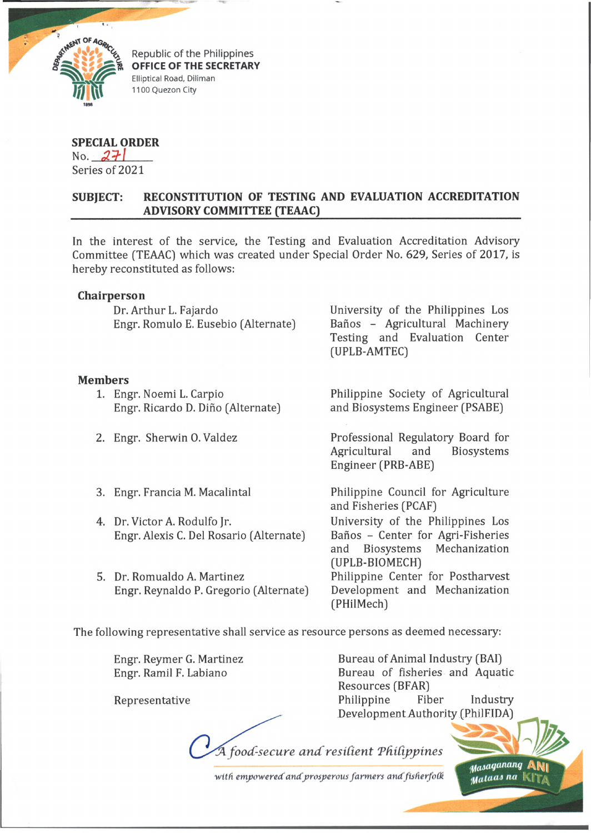

Republic of the Philippines **OFFICE OF THE SECRETARY** Elliptical Road, Diliman 1100 Quezon City

## **SPECIAL ORDER**

No.  $271$ Series of 2021

## **SUBJECT: RECONSTITUTION OF TESTING AND EVALUATION ACCREDITATION \_\_\_\_\_\_\_\_\_\_\_\_\_\_\_\_ ADVISORY COMMITTEE (TEAAC)\_\_\_\_\_\_\_\_\_\_\_\_\_\_\_\_\_\_\_\_\_\_\_\_\_\_\_\_\_\_\_\_\_\_\_\_\_\_\_\_\_\_\_\_\_\_**

In the interest of the service, the Testing and Evaluation Accreditation Advisory Committee [TEAAC) which was created under Special Order No. 629, Series of 2017, is hereby reconstituted as follows:

## **Chairperson**

Dr. Arthur L. Fajardo University of the Philippines Los Engr. Romulo E. Eusebio (Alternate) Baños - Agricultural Machinery

## **Members**

- 1. Engr. Noemi L. Carpio Engr. Ricardo D. Dino (Alternate)
- 2. Engr. Sherwin 0. Valdez
- 3. Engr. Francia M. Macalintal
- 4. Dr. Victor A. Rodulfo Jr. Engr. Alexis C. Del Rosario (Alternate)
- 5. Dr. Romualdo A. Martinez Engr. Reynaldo P. Gregorio (Alternate)

Testing and Evaluation Center (UPLB-AMTEC)

Philippine Society of Agricultural and Biosystems Engineer (PSABE)

Professional Regulatory Board for Agricultural and Biosystems Engineer (PRB-ABE)

Philippine Council for Agriculture and Fisheries (PCAF) University of the Philippines Los Banos - Center for Agri-Fisheries and Biosystems Mechanization (UPLB-BIOMECH) Philippine Center for Postharvest

Development and Mechanization (PHilMech)

The following representative shall service as resource persons as deemed necessary:

Engr. Reymer G. Martinez Engr. Ramil F. Labiano

Representative

Bureau of Animal Industry (BAI) Bureau of fisheries and Aquatic Resources (BFAR) Philippine Fiber Industry Development Authority (PhilFIDA)

> m<sub>asaganang</sup> ,</sub>  $<sub>Mal</sub>u<sub>as na</sub>$ </sub>

*food-secure an d resid en t T didp pin es*

with empowered and prosperous farmers and fisherfolk